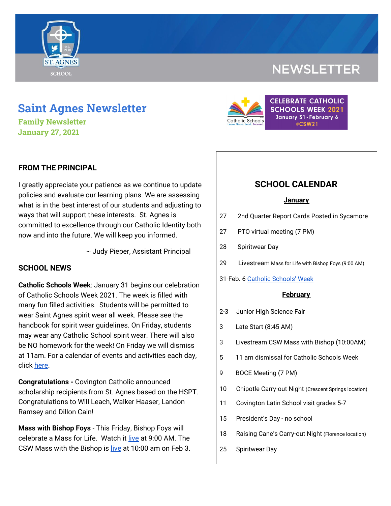

# **NEWSLETTER**

# **Saint Agnes Newsletter**

**Family Newsletter January 27, 2021**

### **FROM THE PRINCIPAL**

I greatly appreciate your patience as we continue to update policies and evaluate our learning plans. We are assessing what is in the best interest of our students and adjusting to ways that will support these interests. St. Agnes is committed to excellence through our Catholic Identity both now and into the future. We will keep you informed.

~ Judy Pieper, Assistant Principal

#### **SCHOOL NEWS**

**Catholic Schools Week**: January 31 begins our celebration of Catholic Schools Week 2021. The week is filled with many fun filled activities. Students will be permitted to wear Saint Agnes spirit wear all week. Please see the handbook for spirit wear guidelines. On Friday, students may wear any Catholic School spirit wear. There will also be NO homework for the week! On Friday we will dismiss at 11am. For a calendar of events and activities each day, click [here](https://school.saintagnes.com/wp-content/uploads/2021/01/Catholic-Schools-Week-Calendar-2021.pdf).

**Congratulations -** Covington Catholic announced scholarship recipients from St. Agnes based on the HSPT. Congratulations to Will Leach, Walker Haaser, Landon Ramsey and Dillon Cain!

**Mass with Bishop Foys** - This Friday, Bishop Foys will celebrate a Mass for Life. Watch it [live](https://covcathedral.com/) at 9:00 AM. The CSW Mass with the Bishop is [live](https://covcathedral.com/) at 10:00 am on Feb 3.



## **SCHOOL CALENDAR**

#### **January**

- 27 2nd Quarter Report Cards Posted in Sycamore
- 27 PTO virtual meeting (7 PM)
- 28 Spiritwear Day
- 29 Livestream Mass for Life with Bishop Foys (9:00 AM)
- 31-Feb. 6 Catholic [Schools'](https://drive.google.com/file/d/1Au0KiF2DyTuzKI7ecNJlrxkxKcyYNs_Y/view?usp=sharing) Week

#### **February**

- 2-3 Junior High Science Fair
- 3 Late Start (8:45 AM)
- 3 Livestream CSW Mass with Bishop (10:00AM)
- 5 11 am dismissal for Catholic Schools Week
- 9 BOCE Meeting (7 PM)
- 10 Chipotle Carry-out Night (Crescent Springs location)
- 11 Covington Latin School visit grades 5-7
- 15 President's Day no school
- 18 Raising Cane's Carry-out Night (Florence location)
- 25 Spiritwear Day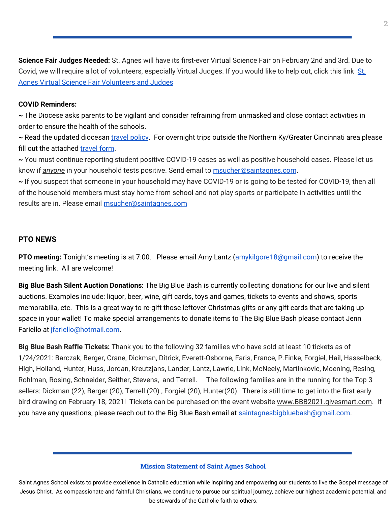**Science Fair Judges Needed:** St. Agnes will have its first-ever Virtual Science Fair on February 2nd and 3rd. Due to Covid, we will require a lot of volunteers, especially Virtual Judges. If you would like to help out, click this link [St.](https://signup.com/go/CEXWWEd) Agnes Virtual Science Fair [Volunteers](https://signup.com/go/CEXWWEd) and Judges

#### **COVID Reminders:**

**~** The Diocese asks parents to be vigilant and consider refraining from unmasked and close contact activities in order to ensure the health of the schools.

**~** Read the updated diocesan travel [policy](https://drive.google.com/file/d/1-11EwrilEo0o0iOCN5NvWP_9t0fWgp8p/view?usp=sharing). For overnight trips outside the Northern Ky/Greater Cincinnati area please fill out the attached [travel](https://docs.google.com/forms/d/1G4JmfFWk29Sxg_3O81r5EB0F7IYJyTofEAGJ9wd5aO4/edit?ts=5f985dbb&gxids=7628) form.

**~** You must continue reporting student positive COVID-19 cases as well as positive household cases. Please let us know if *anyone* in your household tests positive. Send email to [msucher@saintagnes.com](mailto:msucher@saintagnes.com).

**~** If you suspect that someone in your household may have COVID-19 or is going to be tested for COVID-19, then all of the household members must stay home from school and not play sports or participate in activities until the results are in. Please email **[msucher@saintagnes.com](mailto:msucher@saintagnes.com)** 

### **PTO NEWS**

**PTO meeting:** Tonight's meeting is at 7:00. Please email Amy Lantz (amykilgore18@gmail.com) to receive the meeting link. All are welcome!

**Big Blue Bash Silent Auction Donations:** The Big Blue Bash is currently collecting donations for our live and silent auctions. Examples include: liquor, beer, wine, gift cards, toys and games, tickets to events and shows, sports memorabilia, etc. This is a great way to re-gift those leftover Christmas gifts or any gift cards that are taking up space in your wallet! To make special arrangements to donate items to The Big Blue Bash please contact Jenn Fariello at jfariello@hotmail.com.

**Big Blue Bash Raffle Tickets:** Thank you to the following 32 families who have sold at least 10 tickets as of 1/24/2021: Barczak, Berger, Crane, Dickman, Ditrick, Everett-Osborne, Faris, France, P.Finke, Forgiel, Hail, Hasselbeck, High, Holland, Hunter, Huss, Jordan, Kreutzjans, Lander, Lantz, Lawrie, Link, McNeely, Martinkovic, Moening, Resing, Rohlman, Rosing, Schneider, Seither, Stevens, and Terrell. The following families are in the running for the Top 3 sellers: Dickman (22), Berger (20), Terrell (20) , Forgiel (20), Hunter(20). There is still time to get into the first early bird drawing on February 18, 2021! Tickets can be purchased on the event website [www.BBB2021.givesmart.com.](http://www.bbb2021.givesmart.com/) If you have any questions, please reach out to the Big Blue Bash email at saintagnesbigbluebash@gmail.com.

#### **Mission Statement of Saint Agnes School**

Saint Agnes School exists to provide excellence in Catholic education while inspiring and empowering our students to live the Gospel message of Jesus Christ. As compassionate and faithful Christians, we continue to pursue our spiritual journey, achieve our highest academic potential, and be stewards of the Catholic faith to others.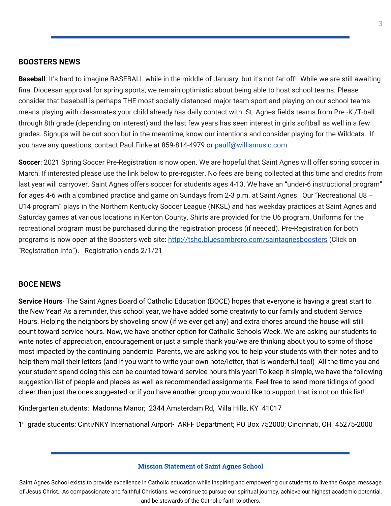#### **BOOSTERS NEWS**

**Baseball**: It's hard to imagine BASEBALL while in the middle of January, but it's not far off! While we are still awaiting final Diocesan approval for spring sports, we remain optimistic about being able to host school teams. Please consider that baseball is perhaps THE most socially distanced major team sport and playing on our school teams means playing with classmates your child already has daily contact with. St. Agnes fields teams from Pre -K /T-ball through 8th grade (depending on interest) and the last few years has seen interest in girls softball as well in a few grades. Signups will be out soon but in the meantime, know our intentions and consider playing for the Wildcats. If you have any questions, contact Paul Finke at 859-814-4979 or paulf@willismusic.com.

**Soccer**: 2021 Spring Soccer Pre-Registration is now open. We are hopeful that Saint Agnes will offer spring soccer in March. If interested please use the link below to pre-register. No fees are being collected at this time and credits from last year will carryover. Saint Agnes offers soccer for students ages 4-13. We have an "under-6 instructional program" for ages 4-6 with a combined practice and game on Sundays from 2-3 p.m. at Saint Agnes. Our "Recreational U8 – U14 program" plays in the Northern Kentucky Soccer League (NKSL) and has weekday practices at Saint Agnes and Saturday games at various locations in Kenton County. Shirts are provided for the U6 program. Uniforms for the recreational program must be purchased during the registration process (if needed). Pre-Registration for both programs is now open at the Boosters web site: <http://tshq.bluesombrero.com/saintagnesboosters> (Click on "Registration Info"). Registration ends 2/1/21

#### **BOCE NEWS**

**Service Hours**- The Saint Agnes Board of Catholic Education (BOCE) hopes that everyone is having a great start to the New Year! As a reminder, this school year, we have added some creativity to our family and student Service Hours. Helping the neighbors by shoveling snow (if we ever get any) and extra chores around the house will still count toward service hours. Now, we have another option for Catholic Schools Week. We are asking our students to write notes of appreciation, encouragement or just a simple thank you/we are thinking about you to some of those most impacted by the continuing pandemic. Parents, we are asking you to help your students with their notes and to help them mail their letters (and if you want to write your own note/letter, that is wonderful too!) All the time you and your student spend doing this can be counted toward service hours this year! To keep it simple, we have the following suggestion list of people and places as well as recommended assignments. Feel free to send more tidings of good cheer than just the ones suggested or if you have another group you would like to support that is not on this list!

Kindergarten students: Madonna Manor; 2344 Amsterdam Rd, Villa Hills, KY 41017

1 st grade students: Cinti/NKY International Airport- ARFF Department; PO Box 752000; Cincinnati, OH 45275-2000

#### **Mission Statement of Saint Agnes School**

Saint Agnes School exists to provide excellence in Catholic education while inspiring and empowering our students to live the Gospel message of Jesus Christ. As compassionate and faithful Christians, we continue to pursue our spiritual journey, achieve our highest academic potential, and be stewards of the Catholic faith to others.